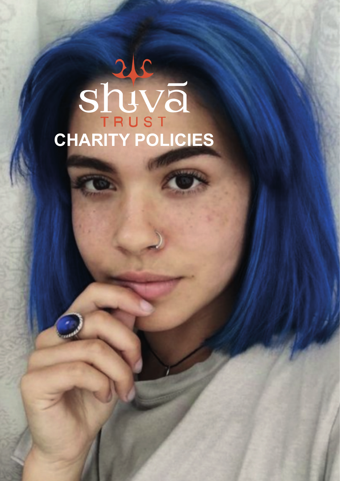# **CHARITY POLICIES**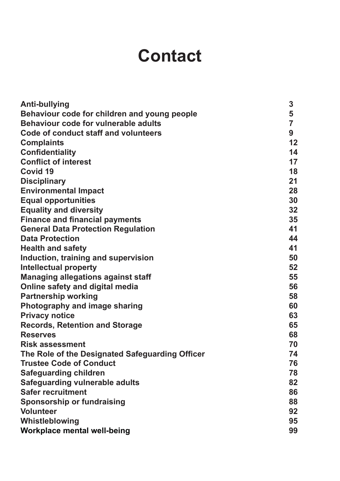# **Contact**

| <b>Anti-bullying</b>                            | 3              |
|-------------------------------------------------|----------------|
| Behaviour code for children and young people    | 5              |
| Behaviour code for vulnerable adults            | $\overline{7}$ |
| Code of conduct staff and volunteers            | 9              |
| <b>Complaints</b>                               | 12             |
| <b>Confidentiality</b>                          | 14             |
| <b>Conflict of interest</b>                     | 17             |
| Covid 19                                        | 18             |
| <b>Disciplinary</b>                             | 21             |
| <b>Environmental Impact</b>                     | 28             |
| <b>Equal opportunities</b>                      | 30             |
| <b>Equality and diversity</b>                   | 32             |
| <b>Finance and financial payments</b>           | 35             |
| <b>General Data Protection Regulation</b>       | 41             |
| <b>Data Protection</b>                          | 44             |
| <b>Health and safety</b>                        | 41             |
| Induction, training and supervision             | 50             |
| <b>Intellectual property</b>                    | 52             |
| <b>Managing allegations against staff</b>       | 55             |
| Online safety and digital media                 | 56             |
| <b>Partnership working</b>                      | 58             |
| Photography and image sharing                   | 60             |
| <b>Privacy notice</b>                           | 63             |
| <b>Records, Retention and Storage</b>           | 65             |
| <b>Reserves</b>                                 | 68             |
| <b>Risk assessment</b>                          | 70             |
| The Role of the Designated Safeguarding Officer | 74             |
| <b>Trustee Code of Conduct</b>                  | 76             |
| <b>Safeguarding children</b>                    | 78             |
| <b>Safeguarding vulnerable adults</b>           | 82             |
| <b>Safer recruitment</b>                        | 86             |
| <b>Sponsorship or fundraising</b>               | 88             |
| <b>Volunteer</b>                                | 92             |
| Whistleblowing                                  | 95             |
| <b>Workplace mental well-being</b>              | 99             |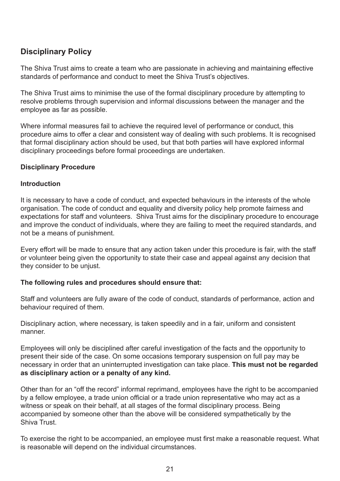# **Disciplinary Policy**

The Shiva Trust aims to create a team who are passionate in achieving and maintaining effective standards of performance and conduct to meet the Shiva Trust's objectives.

The Shiva Trust aims to minimise the use of the formal disciplinary procedure by attempting to resolve problems through supervision and informal discussions between the manager and the employee as far as possible.

Where informal measures fail to achieve the required level of performance or conduct, this procedure aims to offer a clear and consistent way of dealing with such problems. It is recognised that formal disciplinary action should be used, but that both parties will have explored informal disciplinary proceedings before formal proceedings are undertaken.

# **Disciplinary Procedure**

## **Introduction**

It is necessary to have a code of conduct, and expected behaviours in the interests of the whole organisation. The code of conduct and equality and diversity policy help promote fairness and expectations for staff and volunteers. Shiva Trust aims for the disciplinary procedure to encourage and improve the conduct of individuals, where they are failing to meet the required standards, and not be a means of punishment.

Every effort will be made to ensure that any action taken under this procedure is fair, with the staff or volunteer being given the opportunity to state their case and appeal against any decision that they consider to be unjust.

# **The following rules and procedures should ensure that:**

Staff and volunteers are fully aware of the code of conduct, standards of performance, action and behaviour required of them.

Disciplinary action, where necessary, is taken speedily and in a fair, uniform and consistent manner.

Employees will only be disciplined after careful investigation of the facts and the opportunity to present their side of the case. On some occasions temporary suspension on full pay may be necessary in order that an uninterrupted investigation can take place. **This must not be regarded as disciplinary action or a penalty of any kind.**

Other than for an "off the record" informal reprimand, employees have the right to be accompanied by a fellow employee, a trade union official or a trade union representative who may act as a witness or speak on their behalf, at all stages of the formal disciplinary process. Being accompanied by someone other than the above will be considered sympathetically by the Shiva Trust.

To exercise the right to be accompanied, an employee must first make a reasonable request. What is reasonable will depend on the individual circumstances.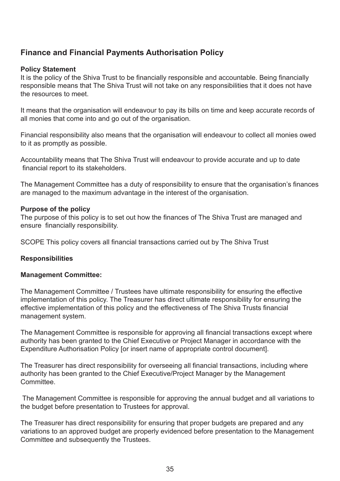# **Finance and Financial Payments Authorisation Policy**

# **Policy Statement**

It is the policy of the Shiva Trust to be financially responsible and accountable. Being financially responsible means that The Shiva Trust will not take on any responsibilities that it does not have the resources to meet.

It means that the organisation will endeavour to pay its bills on time and keep accurate records of all monies that come into and go out of the organisation.

Financial responsibility also means that the organisation will endeavour to collect all monies owed to it as promptly as possible.

Accountability means that The Shiva Trust will endeavour to provide accurate and up to date financial report to its stakeholders.

The Management Committee has a duty of responsibility to ensure that the organisation's finances are managed to the maximum advantage in the interest of the organisation.

### **Purpose of the policy**

The purpose of this policy is to set out how the finances of The Shiva Trust are managed and ensure financially responsibility.

SCOPE This policy covers all financial transactions carried out by The Shiva Trust

### **Responsibilities**

#### **Management Committee:**

The Management Committee / Trustees have ultimate responsibility for ensuring the effective implementation of this policy. The Treasurer has direct ultimate responsibility for ensuring the effective implementation of this policy and the effectiveness of The Shiva Trusts financial management system.

The Management Committee is responsible for approving all financial transactions except where authority has been granted to the Chief Executive or Project Manager in accordance with the Expenditure Authorisation Policy for insert name of appropriate control document.

The Treasurer has direct responsibility for overseeing all financial transactions, including where authority has been granted to the Chief Executive/Project Manager by the Management **Committee.** 

 The Management Committee is responsible for approving the annual budget and all variations to the budget before presentation to Trustees for approval.

The Treasurer has direct responsibility for ensuring that proper budgets are prepared and any variations to an approved budget are properly evidenced before presentation to the Management Committee and subsequently the Trustees.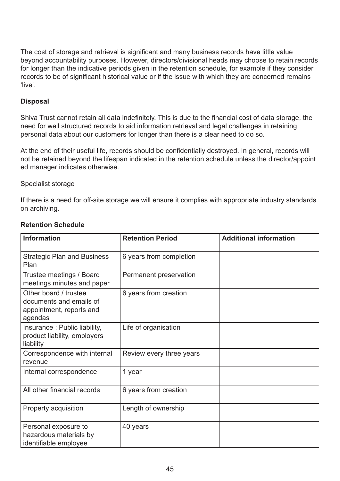The cost of storage and retrieval is significant and many business records have little value beyond accountability purposes. However, directors/divisional heads may choose to retain records for longer than the indicative periods given in the retention schedule, for example if they consider records to be of significant historical value or if the issue with which they are concerned remains 'live'.

#### **Disposal**

Shiva Trust cannot retain all data indefinitely. This is due to the financial cost of data storage, the need for well structured records to aid information retrieval and legal challenges in retaining personal data about our customers for longer than there is a clear need to do so.

At the end of their useful life, records should be confidentially destroyed. In general, records will not be retained beyond the lifespan indicated in the retention schedule unless the director/appoint ed manager indicates otherwise.

#### Specialist storage

If there is a need for off-site storage we will ensure it complies with appropriate industry standards on archiving.

| <b>Information</b>                                                                      | <b>Retention Period</b>  | <b>Additional information</b> |
|-----------------------------------------------------------------------------------------|--------------------------|-------------------------------|
| <b>Strategic Plan and Business</b><br>Plan                                              | 6 years from completion  |                               |
| Trustee meetings / Board<br>meetings minutes and paper                                  | Permanent preservation   |                               |
| Other board / trustee<br>documents and emails of<br>appointment, reports and<br>agendas | 6 years from creation    |                               |
| Insurance: Public liability,<br>product liability, employers<br>liability               | Life of organisation     |                               |
| Correspondence with internal<br>revenue                                                 | Review every three years |                               |
| Internal correspondence                                                                 | 1 year                   |                               |
| All other financial records                                                             | 6 years from creation    |                               |
| Property acquisition                                                                    | Length of ownership      |                               |
| Personal exposure to<br>hazardous materials by<br>identifiable employee                 | 40 years                 |                               |

### **Retention Schedule**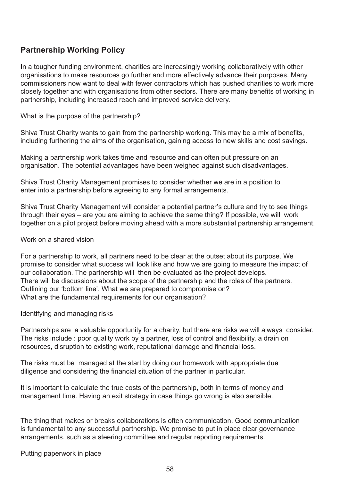### **Partnership Working Policy**

In a tougher funding environment, charities are increasingly working collaboratively with other organisations to make resources go further and more effectively advance their purposes. Many commissioners now want to deal with fewer contractors which has pushed charities to work more closely together and with organisations from other sectors. There are many benefits of working in partnership, including increased reach and improved service delivery.

What is the purpose of the partnership?

Shiva Trust Charity wants to gain from the partnership working. This may be a mix of benefits, including furthering the aims of the organisation, gaining access to new skills and cost savings.

Making a partnership work takes time and resource and can often put pressure on an organisation. The potential advantages have been weighed against such disadvantages.

Shiva Trust Charity Management promises to consider whether we are in a position to enter into a partnership before agreeing to any formal arrangements.

Shiva Trust Charity Management will consider a potential partner's culture and try to see things through their eyes – are you are aiming to achieve the same thing? If possible, we will work together on a pilot project before moving ahead with a more substantial partnership arrangement.

#### Work on a shared vision

For a partnership to work, all partners need to be clear at the outset about its purpose. We promise to consider what success will look like and how we are going to measure the impact of our collaboration. The partnership will then be evaluated as the project develops. There will be discussions about the scope of the partnership and the roles of the partners. Outlining our 'bottom line'. What we are prepared to compromise on? What are the fundamental requirements for our organisation?

#### Identifying and managing risks

Partnerships are a valuable opportunity for a charity, but there are risks we will always consider. The risks include : poor quality work by a partner, loss of control and flexibility, a drain on resources, disruption to existing work, reputational damage and financial loss.

The risks must be managed at the start by doing our homework with appropriate due diligence and considering the financial situation of the partner in particular.

It is important to calculate the true costs of the partnership, both in terms of money and management time. Having an exit strategy in case things go wrong is also sensible.

The thing that makes or breaks collaborations is often communication. Good communication is fundamental to any successful partnership. We promise to put in place clear governance arrangements, such as a steering committee and regular reporting requirements.

Putting paperwork in place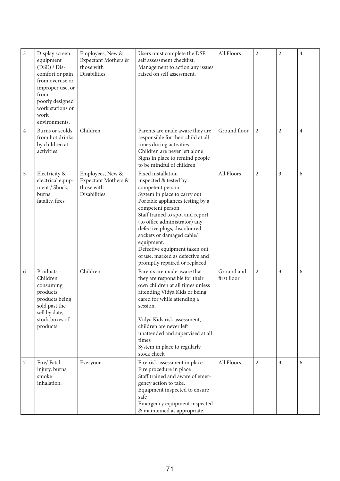| $\mathfrak{Z}$   | Display screen<br>equipment<br>$(DSE) / Dis-$<br>comfort or pain<br>from overuse or<br>improper use, or<br>from<br>poorly designed<br>work stations or<br>work<br>environments. | Employees, New &<br>Expectant Mothers &<br>those with<br>Disabilities. | Users must complete the DSE<br>self assessment checklist.<br>Management to action any issues<br>raised on self assessment.                                                                                                                                                                                                                                                                                     | All Floors                | $\overline{2}$ | $\overline{2}$ | $\overline{4}$ |
|------------------|---------------------------------------------------------------------------------------------------------------------------------------------------------------------------------|------------------------------------------------------------------------|----------------------------------------------------------------------------------------------------------------------------------------------------------------------------------------------------------------------------------------------------------------------------------------------------------------------------------------------------------------------------------------------------------------|---------------------------|----------------|----------------|----------------|
| $\overline{4}$   | Burns or scolds<br>from hot drinks<br>by children at<br>activities                                                                                                              | Children                                                               | Parents are made aware they are<br>responsible for their child at all<br>times during activities<br>Children are never left alone<br>Signs in place to remind people<br>to be mindful of children                                                                                                                                                                                                              | Ground floor              | $\overline{2}$ | $\overline{2}$ | $\overline{4}$ |
| 5                | Electricity &<br>electrical equip-<br>ment / Shock,<br>burns<br>fatality, fires                                                                                                 | Employees, New &<br>Expectant Mothers &<br>those with<br>Disabilities. | Fixed installation<br>inspected & tested by<br>competent person<br>System in place to carry out<br>Portable appliances testing by a<br>competent person.<br>Staff trained to spot and report<br>(to office administrator) any<br>defective plugs, discoloured<br>sockets or damaged cable/<br>equipment.<br>Defective equipment taken out<br>of use, marked as defective and<br>promptly repaired or replaced. | All Floors                | $\overline{2}$ | 3              | 6              |
| 6                | Products -<br>Children<br>consuming<br>products,<br>products being<br>sold past the<br>sell by date,<br>stock boxes of<br>products                                              | Children                                                               | Parents are made aware that<br>they are responsible for their<br>own children at all times unless<br>attending Vidya Kids or being<br>cared for while attending a<br>session.<br>Vidya Kids risk assessment,<br>children are never left<br>unattended and supervised at all<br>times<br>System in place to regularly<br>stock check                                                                            | Ground and<br>first floor | $\overline{2}$ | 3              | 6              |
| $\boldsymbol{7}$ | Fire/Fatal<br>injury, burns,<br>smoke<br>inhalation.                                                                                                                            | Everyone.                                                              | Fire risk assessment in place<br>Fire procedure in place<br>Staff trained and aware of emer-<br>gency action to take.<br>Equipment inspected to ensure<br>safe<br>Emergency equipment inspected<br>& maintained as appropriate.                                                                                                                                                                                | All Floors                | $\overline{2}$ | $\overline{3}$ | 6              |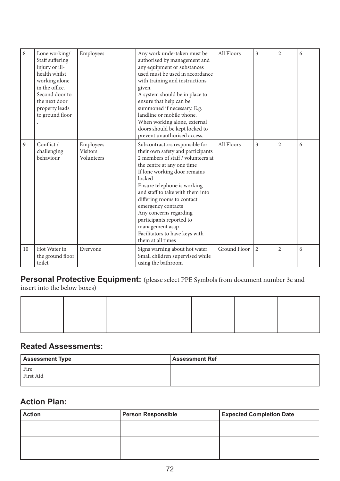| 8  | Lone working/<br>Staff suffering<br>injury or ill-<br>health whilst<br>working alone<br>in the office.<br>Second door to<br>the next door<br>property leads<br>to ground floor | Employees                                  | Any work undertaken must be<br>authorised by management and<br>any equipment or substances<br>used must be used in accordance<br>with training and instructions<br>given.<br>A system should be in place to<br>ensure that help can be<br>summoned if necessary. E.g.<br>landline or mobile phone.<br>When working alone, external<br>doors should be kept locked to<br>prevent unauthorised access.                                     | All Floors   | 3              | $\overline{2}$ | 6 |
|----|--------------------------------------------------------------------------------------------------------------------------------------------------------------------------------|--------------------------------------------|------------------------------------------------------------------------------------------------------------------------------------------------------------------------------------------------------------------------------------------------------------------------------------------------------------------------------------------------------------------------------------------------------------------------------------------|--------------|----------------|----------------|---|
| 9  | Conflict /<br>challenging<br>behaviour                                                                                                                                         | Employees<br><b>Visitors</b><br>Volunteers | Subcontractors responsible for<br>their own safety and participants<br>2 members of staff / volunteers at<br>the centre at any one time<br>If lone working door remains<br>locked<br>Ensure telephone is working<br>and staff to take with them into<br>differing rooms to contact<br>emergency contacts<br>Any concerns regarding<br>participants reported to<br>management asap<br>Facilitators to have keys with<br>them at all times | All Floors   | $\overline{3}$ | $\overline{2}$ | 6 |
| 10 | Hot Water in<br>the ground floor<br>toilet                                                                                                                                     | Everyone                                   | Signs warning about hot water<br>Small children supervised while<br>using the bathroom                                                                                                                                                                                                                                                                                                                                                   | Ground Floor | $\overline{2}$ | $\overline{2}$ | 6 |

# **Personal Protective Equipment:** (please select PPE Symbols from document number 3c and

insert into the below boxes)

### **Reated Assessments:**

| <b>Assessment Type</b> | <b>Assessment Ref</b> |
|------------------------|-----------------------|
| Fire<br>First Aid      |                       |

## **Action Plan:**

| <b>Action</b> | <b>Person Responsible</b> | <b>Expected Completion Date</b> |
|---------------|---------------------------|---------------------------------|
|               |                           |                                 |
|               |                           |                                 |
|               |                           |                                 |
|               |                           |                                 |
|               |                           |                                 |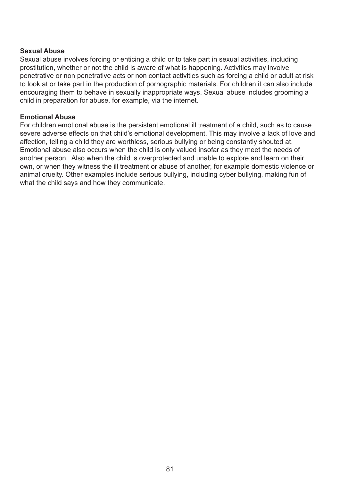## **Sexual Abuse**

Sexual abuse involves forcing or enticing a child or to take part in sexual activities, including prostitution, whether or not the child is aware of what is happening. Activities may involve penetrative or non penetrative acts or non contact activities such as forcing a child or adult at risk to look at or take part in the production of pornographic materials. For children it can also include encouraging them to behave in sexually inappropriate ways. Sexual abuse includes grooming a child in preparation for abuse, for example, via the internet.

## **Emotional Abuse**

For children emotional abuse is the persistent emotional ill treatment of a child, such as to cause severe adverse effects on that child's emotional development. This may involve a lack of love and affection, telling a child they are worthless, serious bullying or being constantly shouted at. Emotional abuse also occurs when the child is only valued insofar as they meet the needs of another person. Also when the child is overprotected and unable to explore and learn on their own, or when they witness the ill treatment or abuse of another, for example domestic violence or animal cruelty. Other examples include serious bullying, including cyber bullying, making fun of what the child says and how they communicate.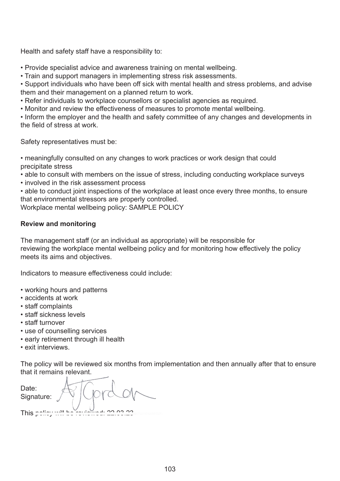Health and safety staff have a responsibility to:

• Provide specialist advice and awareness training on mental wellbeing.

• Train and support managers in implementing stress risk assessments.

• Support individuals who have been off sick with mental health and stress problems, and advise them and their management on a planned return to work.

• Refer individuals to workplace counsellors or specialist agencies as required.

• Monitor and review the effectiveness of measures to promote mental wellbeing.

• Inform the employer and the health and safety committee of any changes and developments in the field of stress at work.

Safety representatives must be:

• meaningfully consulted on any changes to work practices or work design that could precipitate stress

- able to consult with members on the issue of stress, including conducting workplace surveys
- involved in the risk assessment process

• able to conduct joint inspections of the workplace at least once every three months, to ensure that environmental stressors are properly controlled.

Workplace mental wellbeing policy: SAMPLE POLICY

## **Review and monitoring**

The management staff (or an individual as appropriate) will be responsible for reviewing the workplace mental wellbeing policy and for monitoring how effectively the policy meets its aims and objectives.

Indicators to measure effectiveness could include:

- working hours and patterns
- accidents at work
- staff complaints
- staff sickness levels
- staff turnover
- use of counselling services
- early retirement through ill health
- exit interviews.

The policy will be reviewed six months from implementation and then annually after that to ensure that i

| Date<br>Sign |  |
|--------------|--|
| This         |  |